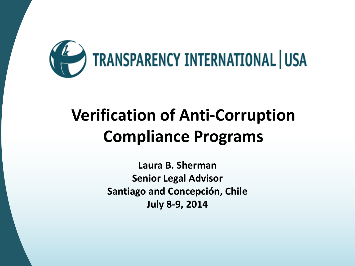

# **Verification of Anti-Corruption Compliance Programs**

**Laura B. Sherman Senior Legal Advisor Santiago and Concepción, Chile July 8-9, 2014**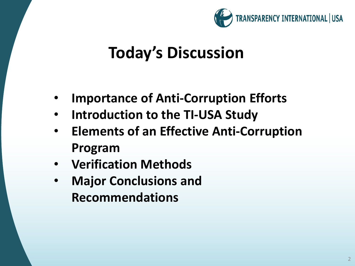

## **Today's Discussion**

- **Importance of Anti-Corruption Efforts**
- **Introduction to the TI-USA Study**
- **Elements of an Effective Anti-Corruption Program**
- **Verification Methods**
- **Major Conclusions and Recommendations**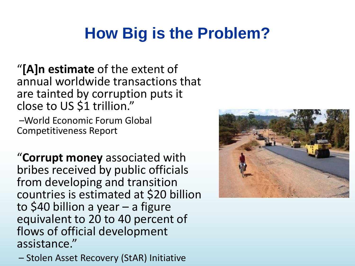## **How Big is the Problem?**

"**[A]n estimate** of the extent of annual worldwide transactions that are tainted by corruption puts it close to US \$1 trillion."

–World Economic Forum Global Competitiveness Report

"**Corrupt money** associated with bribes received by public officials from developing and transition countries is estimated at \$20 billion to \$40 billion a year – a figure equivalent to 20 to 40 percent of flows of official development assistance."

– Stolen Asset Recovery (StAR) Initiative

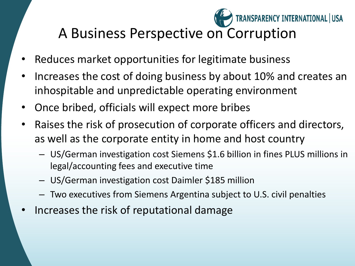### A Business Perspective on Corruption

TRANSPARENCY INTERNATIONAL | USA

- Reduces market opportunities for legitimate business
- Increases the cost of doing business by about 10% and creates an inhospitable and unpredictable operating environment
- Once bribed, officials will expect more bribes
- Raises the risk of prosecution of corporate officers and directors, as well as the corporate entity in home and host country
	- US/German investigation cost Siemens \$1.6 billion in fines PLUS millions in legal/accounting fees and executive time
	- US/German investigation cost Daimler \$185 million
	- Two executives from Siemens Argentina subject to U.S. civil penalties
- Increases the risk of reputational damage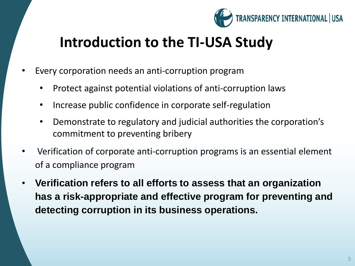

#### **Introduction to the TI-USA Study**

- Every corporation needs an anti-corruption program
	- Protect against potential violations of anti-corruption laws
	- Increase public confidence in corporate self-regulation
	- Demonstrate to regulatory and judicial authorities the corporation's commitment to preventing bribery
- Verification of corporate anti-corruption programs is an essential element of a compliance program
- **Verification refers to all efforts to assess that an organization has a risk-appropriate and effective program for preventing and detecting corruption in its business operations.**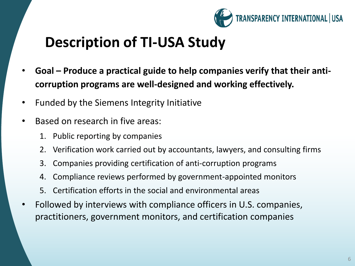

#### **Description of TI-USA Study**

- **Goal – Produce a practical guide to help companies verify that their anticorruption programs are well-designed and working effectively.**
- Funded by the Siemens Integrity Initiative
- Based on research in five areas:
	- 1. Public reporting by companies
	- 2. Verification work carried out by accountants, lawyers, and consulting firms
	- 3. Companies providing certification of anti-corruption programs
	- 4. Compliance reviews performed by government-appointed monitors
	- 5. Certification efforts in the social and environmental areas
- Followed by interviews with compliance officers in U.S. companies, practitioners, government monitors, and certification companies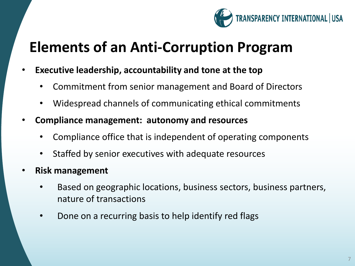

#### **Elements of an Anti-Corruption Program**

- **Executive leadership, accountability and tone at the top**
	- Commitment from senior management and Board of Directors
	- Widespread channels of communicating ethical commitments
- **Compliance management: autonomy and resources**
	- Compliance office that is independent of operating components
	- Staffed by senior executives with adequate resources
- **Risk management**
	- Based on geographic locations, business sectors, business partners, nature of transactions
	- Done on a recurring basis to help identify red flags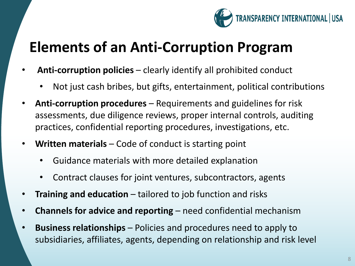

#### **Elements of an Anti-Corruption Program**

- **Anti-corruption policies**  clearly identify all prohibited conduct
	- Not just cash bribes, but gifts, entertainment, political contributions
- **Anti-corruption procedures**  Requirements and guidelines for risk assessments, due diligence reviews, proper internal controls, auditing practices, confidential reporting procedures, investigations, etc.
- **Written materials**  Code of conduct is starting point
	- Guidance materials with more detailed explanation
	- Contract clauses for joint ventures, subcontractors, agents
- **Training and education**  tailored to job function and risks
- **Channels for advice and reporting**  need confidential mechanism
- **Business relationships**  Policies and procedures need to apply to subsidiaries, affiliates, agents, depending on relationship and risk level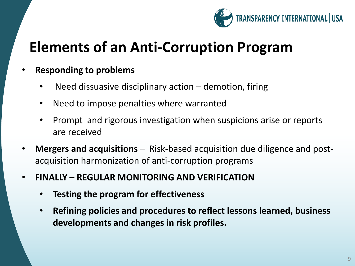

#### **Elements of an Anti-Corruption Program**

- **Responding to problems**
	- Need dissuasive disciplinary action demotion, firing
	- Need to impose penalties where warranted
	- Prompt and rigorous investigation when suspicions arise or reports are received
- **Mergers and acquisitions**  Risk-based acquisition due diligence and postacquisition harmonization of anti-corruption programs
- **FINALLY – REGULAR MONITORING AND VERIFICATION**
	- **Testing the program for effectiveness**
	- **Refining policies and procedures to reflect lessons learned, business developments and changes in risk profiles.**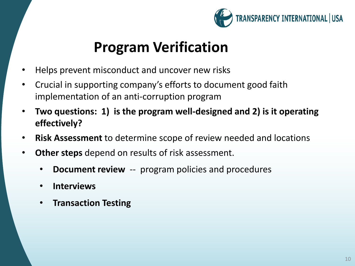

#### **Program Verification**

- Helps prevent misconduct and uncover new risks
- Crucial in supporting company's efforts to document good faith implementation of an anti-corruption program
- **Two questions: 1) is the program well-designed and 2) is it operating effectively?**
- **Risk Assessment** to determine scope of review needed and locations
- **Other steps** depend on results of risk assessment.
	- **Document review** -- program policies and procedures
	- **Interviews**
	- **Transaction Testing**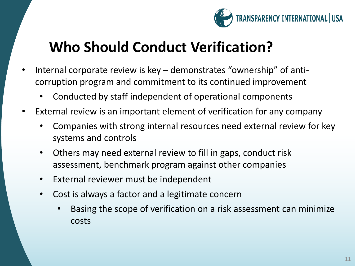

#### **Who Should Conduct Verification?**

- Internal corporate review is key demonstrates "ownership" of anticorruption program and commitment to its continued improvement
	- Conducted by staff independent of operational components
- External review is an important element of verification for any company
	- Companies with strong internal resources need external review for key systems and controls
	- Others may need external review to fill in gaps, conduct risk assessment, benchmark program against other companies
	- External reviewer must be independent
	- Cost is always a factor and a legitimate concern
		- Basing the scope of verification on a risk assessment can minimize costs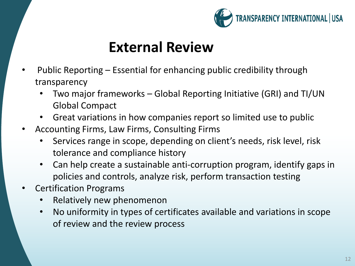

#### **External Review**

- Public Reporting Essential for enhancing public credibility through transparency
	- Two major frameworks Global Reporting Initiative (GRI) and TI/UN Global Compact
	- Great variations in how companies report so limited use to public
- Accounting Firms, Law Firms, Consulting Firms
	- Services range in scope, depending on client's needs, risk level, risk tolerance and compliance history
	- Can help create a sustainable anti-corruption program, identify gaps in policies and controls, analyze risk, perform transaction testing
- Certification Programs
	- Relatively new phenomenon
	- No uniformity in types of certificates available and variations in scope of review and the review process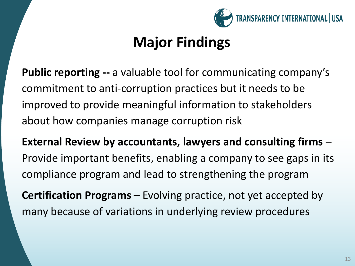

### **Major Findings**

**Public reporting --** a valuable tool for communicating company's commitment to anti-corruption practices but it needs to be improved to provide meaningful information to stakeholders about how companies manage corruption risk

**External Review by accountants, lawyers and consulting firms** – Provide important benefits, enabling a company to see gaps in its compliance program and lead to strengthening the program

**Certification Programs** – Evolving practice, not yet accepted by many because of variations in underlying review procedures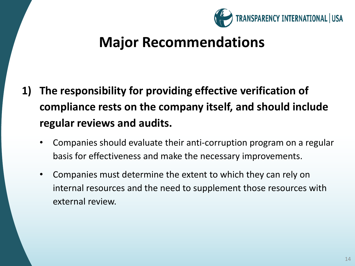

- **1) The responsibility for providing effective verification of compliance rests on the company itself, and should include regular reviews and audits.**
	- Companies should evaluate their anti-corruption program on a regular basis for effectiveness and make the necessary improvements.
	- Companies must determine the extent to which they can rely on internal resources and the need to supplement those resources with external review.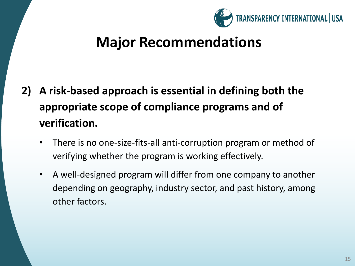

- **2) A risk-based approach is essential in defining both the appropriate scope of compliance programs and of verification.**
	- There is no one-size-fits-all anti-corruption program or method of verifying whether the program is working effectively.
	- A well-designed program will differ from one company to another depending on geography, industry sector, and past history, among other factors.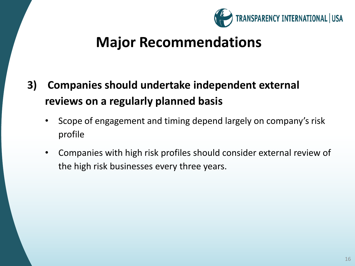

- **3) Companies should undertake independent external reviews on a regularly planned basis**
	- Scope of engagement and timing depend largely on company's risk profile
	- Companies with high risk profiles should consider external review of the high risk businesses every three years.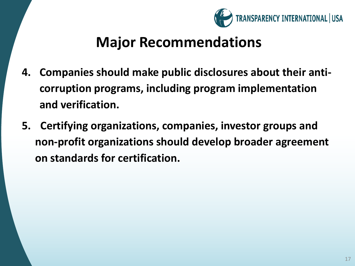

- **4. Companies should make public disclosures about their anticorruption programs, including program implementation and verification.**
- **5. Certifying organizations, companies, investor groups and non-profit organizations should develop broader agreement on standards for certification.**